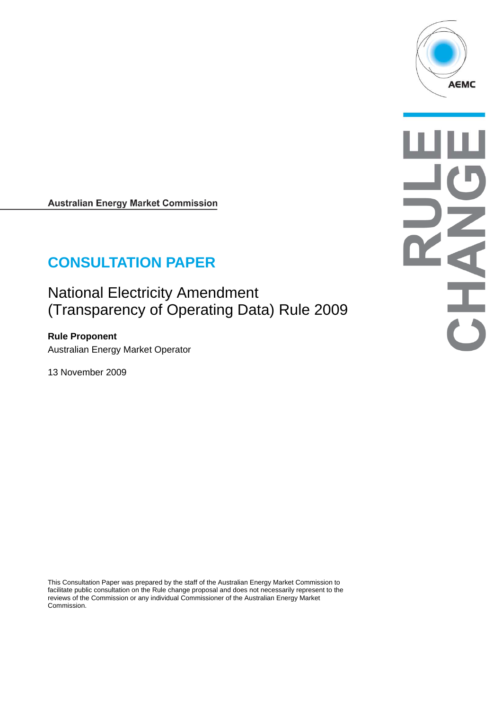

**Australian Energy Market Commission** 

# **CONSULTATION PAPER**

National Electricity Amendment (Transparency of Operating Data) Rule 2009

**Rule Proponent**  Australian Energy Market Operator

13 November 2009

This Consultation Paper was prepared by the staff of the Australian Energy Market Commission to facilitate public consultation on the Rule change proposal and does not necessarily represent to the reviews of the Commission or any individual Commissioner of the Australian Energy Market Commission.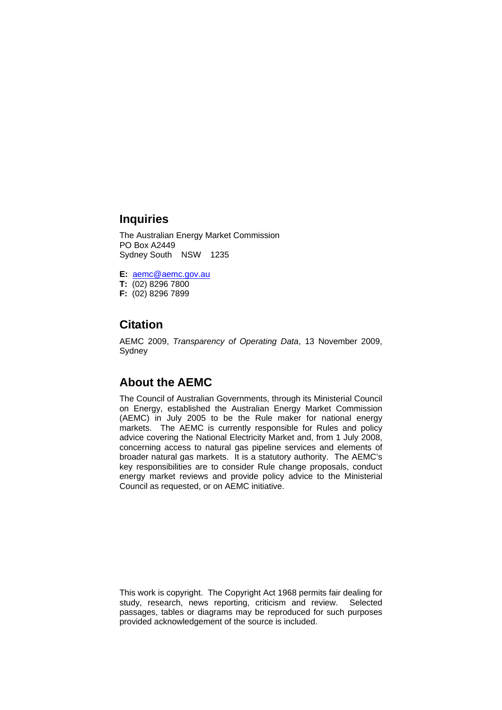#### **Inquiries**

The Australian Energy Market Commission PO Box A2449 Sydney South NSW 1235

**E:** aemc@aemc.gov.au **T:** (02) 8296 7800

**F:** (02) 8296 7899

### **Citation**

AEMC 2009, *Transparency of Operating Data*, 13 November 2009, Sydney

#### **About the AEMC**

The Council of Australian Governments, through its Ministerial Council on Energy, established the Australian Energy Market Commission (AEMC) in July 2005 to be the Rule maker for national energy markets. The AEMC is currently responsible for Rules and policy advice covering the National Electricity Market and, from 1 July 2008, concerning access to natural gas pipeline services and elements of broader natural gas markets. It is a statutory authority. The AEMC's key responsibilities are to consider Rule change proposals, conduct energy market reviews and provide policy advice to the Ministerial Council as requested, or on AEMC initiative.

This work is copyright. The Copyright Act 1968 permits fair dealing for study, research, news reporting, criticism and review. Selected passages, tables or diagrams may be reproduced for such purposes provided acknowledgement of the source is included.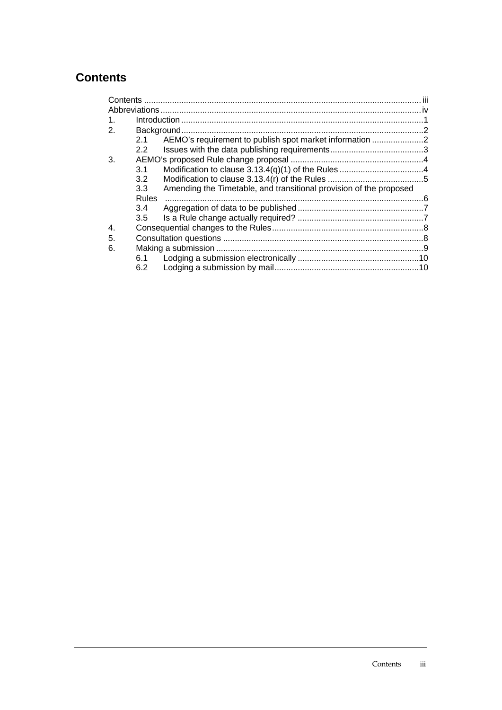## **Contents**

| 2.1              |                                                                    |                                                         |
|------------------|--------------------------------------------------------------------|---------------------------------------------------------|
| $2.2^{\circ}$    |                                                                    |                                                         |
|                  |                                                                    |                                                         |
| 3.1              |                                                                    |                                                         |
| 3.2              |                                                                    |                                                         |
| 3.3 <sub>2</sub> | Amending the Timetable, and transitional provision of the proposed |                                                         |
| <b>Rules</b>     |                                                                    |                                                         |
| 3.4              |                                                                    |                                                         |
| 3.5              |                                                                    |                                                         |
|                  |                                                                    |                                                         |
|                  |                                                                    |                                                         |
|                  |                                                                    |                                                         |
| 6.1              |                                                                    |                                                         |
| 6.2              |                                                                    |                                                         |
|                  |                                                                    | AEMO's requirement to publish spot market information 2 |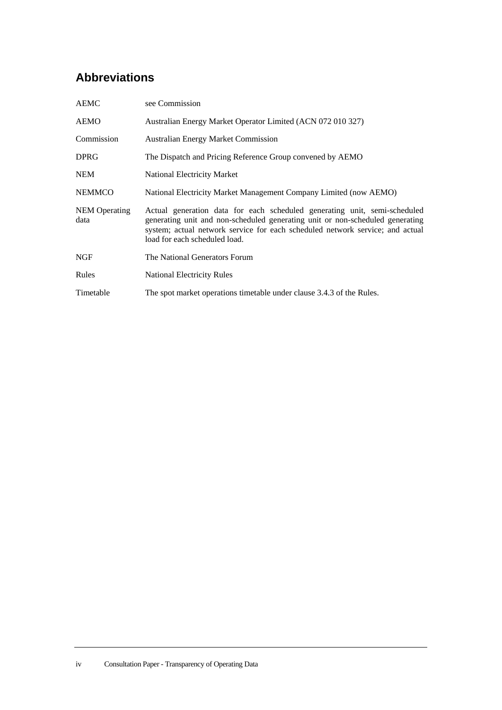# **Abbreviations**

| <b>AEMC</b>                  | see Commission                                                                                                                                                                                                                                                               |
|------------------------------|------------------------------------------------------------------------------------------------------------------------------------------------------------------------------------------------------------------------------------------------------------------------------|
| AEMO                         | Australian Energy Market Operator Limited (ACN 072 010 327)                                                                                                                                                                                                                  |
| Commission                   | <b>Australian Energy Market Commission</b>                                                                                                                                                                                                                                   |
| <b>DPRG</b>                  | The Dispatch and Pricing Reference Group convened by AEMO                                                                                                                                                                                                                    |
| <b>NEM</b>                   | <b>National Electricity Market</b>                                                                                                                                                                                                                                           |
| <b>NEMMCO</b>                | National Electricity Market Management Company Limited (now AEMO)                                                                                                                                                                                                            |
| <b>NEM</b> Operating<br>data | Actual generation data for each scheduled generating unit, semi-scheduled<br>generating unit and non-scheduled generating unit or non-scheduled generating<br>system; actual network service for each scheduled network service; and actual<br>load for each scheduled load. |
| <b>NGF</b>                   | The National Generators Forum                                                                                                                                                                                                                                                |
| Rules                        | <b>National Electricity Rules</b>                                                                                                                                                                                                                                            |
| Timetable                    | The spot market operations timetable under clause 3.4.3 of the Rules.                                                                                                                                                                                                        |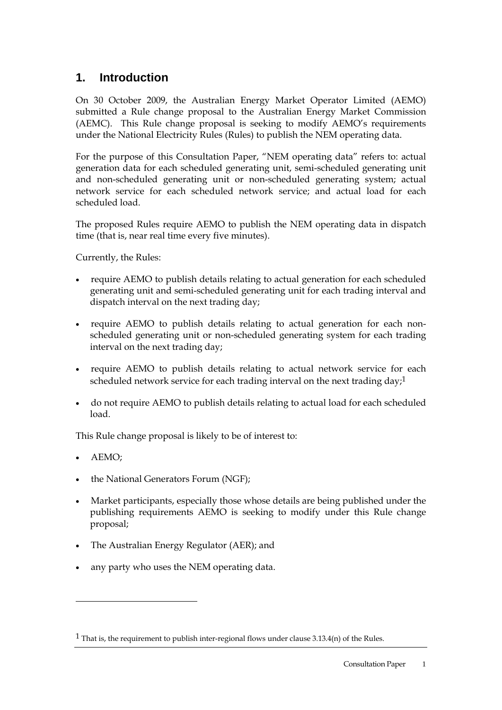## **1. Introduction**

On 30 October 2009, the Australian Energy Market Operator Limited (AEMO) submitted a Rule change proposal to the Australian Energy Market Commission (AEMC). This Rule change proposal is seeking to modify AEMO's requirements under the National Electricity Rules (Rules) to publish the NEM operating data.

For the purpose of this Consultation Paper, "NEM operating data" refers to: actual generation data for each scheduled generating unit, semi-scheduled generating unit and non-scheduled generating unit or non-scheduled generating system; actual network service for each scheduled network service; and actual load for each scheduled load.

The proposed Rules require AEMO to publish the NEM operating data in dispatch time (that is, near real time every five minutes).

Currently, the Rules:

- require AEMO to publish details relating to actual generation for each scheduled generating unit and semi-scheduled generating unit for each trading interval and dispatch interval on the next trading day;
- require AEMO to publish details relating to actual generation for each nonscheduled generating unit or non-scheduled generating system for each trading interval on the next trading day;
- require AEMO to publish details relating to actual network service for each scheduled network service for each trading interval on the next trading day;<sup>1</sup>
- do not require AEMO to publish details relating to actual load for each scheduled load.

This Rule change proposal is likely to be of interest to:

• AEMO;

l

- the National Generators Forum (NGF);
- Market participants, especially those whose details are being published under the publishing requirements AEMO is seeking to modify under this Rule change proposal;
- The Australian Energy Regulator (AER); and
- any party who uses the NEM operating data.

<sup>&</sup>lt;sup>1</sup> That is, the requirement to publish inter-regional flows under clause 3.13.4(n) of the Rules.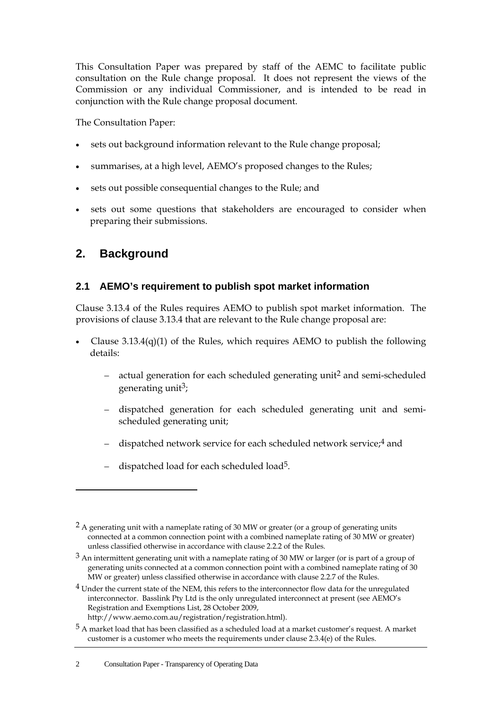This Consultation Paper was prepared by staff of the AEMC to facilitate public consultation on the Rule change proposal. It does not represent the views of the Commission or any individual Commissioner, and is intended to be read in conjunction with the Rule change proposal document.

The Consultation Paper:

- sets out background information relevant to the Rule change proposal;
- summarises, at a high level, AEMO's proposed changes to the Rules;
- sets out possible consequential changes to the Rule; and
- sets out some questions that stakeholders are encouraged to consider when preparing their submissions.

### **2. Background**

#### **2.1 AEMO's requirement to publish spot market information**

Clause 3.13.4 of the Rules requires AEMO to publish spot market information. The provisions of clause 3.13.4 that are relevant to the Rule change proposal are:

- Clause  $3.13.4(q)(1)$  of the Rules, which requires AEMO to publish the following details:
	- $-$  actual generation for each scheduled generating unit<sup>2</sup> and semi-scheduled generating unit<sup>3</sup>;
	- dispatched generation for each scheduled generating unit and semischeduled generating unit;
	- dispatched network service for each scheduled network service;<sup>4</sup> and
	- dispatched load for each scheduled load5.

4 Under the current state of the NEM, this refers to the interconnector flow data for the unregulated interconnector. Basslink Pty Ltd is the only unregulated interconnect at present (see AEMO's Registration and Exemptions List, 28 October 2009, http://www.aemo.com.au/registration/registration.html).

 $2 A$  generating unit with a nameplate rating of 30 MW or greater (or a group of generating units connected at a common connection point with a combined nameplate rating of 30 MW or greater) unless classified otherwise in accordance with clause 2.2.2 of the Rules.

 $3$  An intermittent generating unit with a nameplate rating of 30 MW or larger (or is part of a group of generating units connected at a common connection point with a combined nameplate rating of 30 MW or greater) unless classified otherwise in accordance with clause 2.2.7 of the Rules.

<sup>5</sup> A market load that has been classified as a scheduled load at a market customer's request. A market customer is a customer who meets the requirements under clause 2.3.4(e) of the Rules.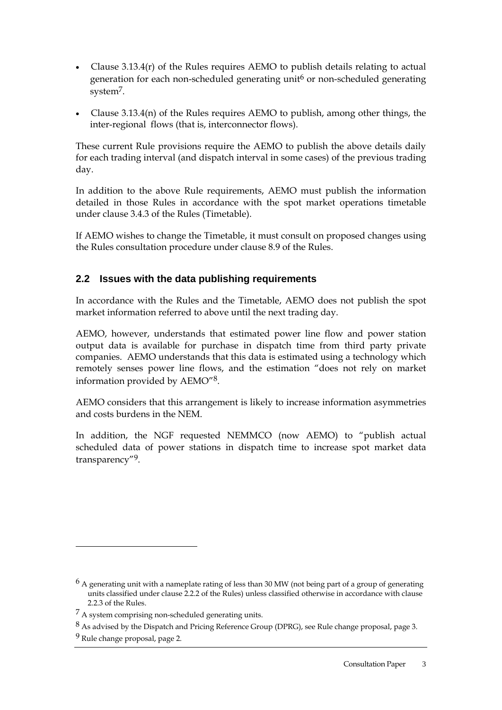- Clause 3.13.4(r) of the Rules requires AEMO to publish details relating to actual generation for each non-scheduled generating unit<sup>6</sup> or non-scheduled generating system7.
- Clause 3.13.4(n) of the Rules requires AEMO to publish, among other things, the inter-regional flows (that is, interconnector flows).

These current Rule provisions require the AEMO to publish the above details daily for each trading interval (and dispatch interval in some cases) of the previous trading day.

In addition to the above Rule requirements, AEMO must publish the information detailed in those Rules in accordance with the spot market operations timetable under clause 3.4.3 of the Rules (Timetable).

If AEMO wishes to change the Timetable, it must consult on proposed changes using the Rules consultation procedure under clause 8.9 of the Rules.

#### **2.2 Issues with the data publishing requirements**

In accordance with the Rules and the Timetable, AEMO does not publish the spot market information referred to above until the next trading day.

AEMO, however, understands that estimated power line flow and power station output data is available for purchase in dispatch time from third party private companies. AEMO understands that this data is estimated using a technology which remotely senses power line flows, and the estimation "does not rely on market information provided by AEMO"8.

AEMO considers that this arrangement is likely to increase information asymmetries and costs burdens in the NEM.

In addition, the NGF requested NEMMCO (now AEMO) to "publish actual scheduled data of power stations in dispatch time to increase spot market data transparency"9.

 $6$  A generating unit with a nameplate rating of less than 30 MW (not being part of a group of generating units classified under clause 2.2.2 of the Rules) unless classified otherwise in accordance with clause 2.2.3 of the Rules.

<sup>7</sup> A system comprising non-scheduled generating units.

<sup>8</sup> As advised by the Dispatch and Pricing Reference Group (DPRG), see Rule change proposal, page 3.

<sup>9</sup> Rule change proposal, page 2.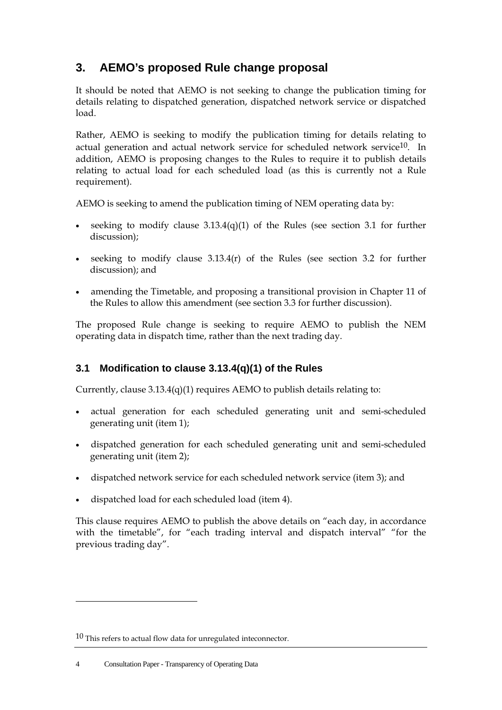# **3. AEMO's proposed Rule change proposal**

It should be noted that AEMO is not seeking to change the publication timing for details relating to dispatched generation, dispatched network service or dispatched load.

Rather, AEMO is seeking to modify the publication timing for details relating to actual generation and actual network service for scheduled network service<sup>10</sup>. In addition, AEMO is proposing changes to the Rules to require it to publish details relating to actual load for each scheduled load (as this is currently not a Rule requirement).

AEMO is seeking to amend the publication timing of NEM operating data by:

- seeking to modify clause  $3.13.4(q)(1)$  of the Rules (see section 3.1 for further discussion);
- seeking to modify clause 3.13.4(r) of the Rules (see section 3.2 for further discussion); and
- amending the Timetable, and proposing a transitional provision in Chapter 11 of the Rules to allow this amendment (see section 3.3 for further discussion).

The proposed Rule change is seeking to require AEMO to publish the NEM operating data in dispatch time, rather than the next trading day.

#### **3.1 Modification to clause 3.13.4(q)(1) of the Rules**

Currently, clause  $3.13.4(q)(1)$  requires AEMO to publish details relating to:

- actual generation for each scheduled generating unit and semi-scheduled generating unit (item 1);
- dispatched generation for each scheduled generating unit and semi-scheduled generating unit (item 2);
- dispatched network service for each scheduled network service (item 3); and
- dispatched load for each scheduled load (item 4).

This clause requires AEMO to publish the above details on "each day, in accordance with the timetable", for "each trading interval and dispatch interval" "for the previous trading day".

l

<sup>10</sup> This refers to actual flow data for unregulated inteconnector.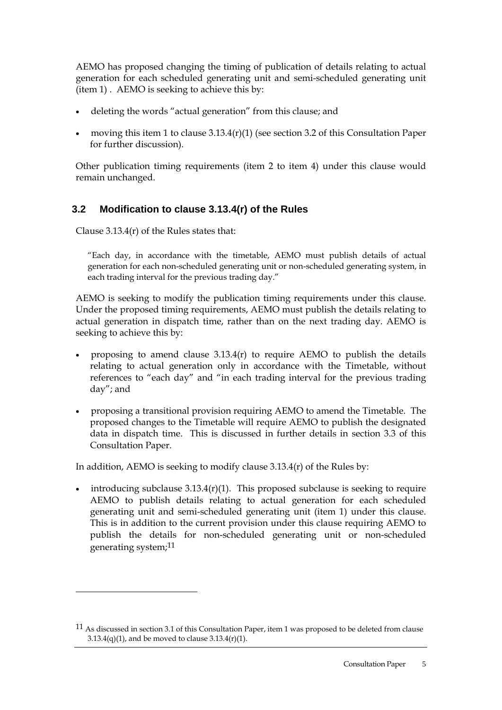AEMO has proposed changing the timing of publication of details relating to actual generation for each scheduled generating unit and semi-scheduled generating unit (item 1) . AEMO is seeking to achieve this by:

- deleting the words "actual generation" from this clause; and
- moving this item 1 to clause  $3.13.4(r)(1)$  (see section 3.2 of this Consultation Paper for further discussion).

Other publication timing requirements (item 2 to item 4) under this clause would remain unchanged.

#### **3.2 Modification to clause 3.13.4(r) of the Rules**

Clause 3.13.4(r) of the Rules states that:

l

"Each day, in accordance with the timetable, AEMO must publish details of actual generation for each non-scheduled generating unit or non-scheduled generating system, in each trading interval for the previous trading day."

AEMO is seeking to modify the publication timing requirements under this clause. Under the proposed timing requirements, AEMO must publish the details relating to actual generation in dispatch time, rather than on the next trading day. AEMO is seeking to achieve this by:

- proposing to amend clause  $3.13.4(r)$  to require AEMO to publish the details relating to actual generation only in accordance with the Timetable, without references to "each day" and "in each trading interval for the previous trading day"; and
- proposing a transitional provision requiring AEMO to amend the Timetable. The proposed changes to the Timetable will require AEMO to publish the designated data in dispatch time. This is discussed in further details in section 3.3 of this Consultation Paper.

In addition, AEMO is seeking to modify clause 3.13.4(r) of the Rules by:

• introducing subclause  $3.13.4(r)(1)$ . This proposed subclause is seeking to require AEMO to publish details relating to actual generation for each scheduled generating unit and semi-scheduled generating unit (item 1) under this clause. This is in addition to the current provision under this clause requiring AEMO to publish the details for non-scheduled generating unit or non-scheduled generating system;11

<sup>11</sup> As discussed in section 3.1 of this Consultation Paper, item 1 was proposed to be deleted from clause  $3.13.4(q)(1)$ , and be moved to clause  $3.13.4(r)(1)$ .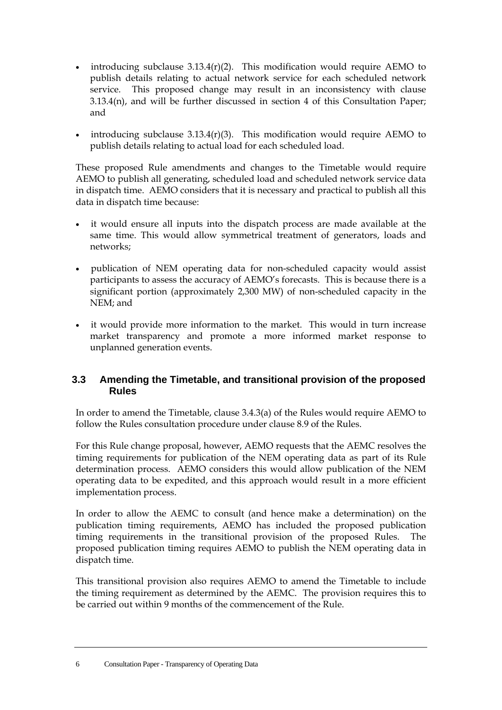- introducing subclause  $3.13.4(r)(2)$ . This modification would require AEMO to publish details relating to actual network service for each scheduled network service. This proposed change may result in an inconsistency with clause 3.13.4(n), and will be further discussed in section 4 of this Consultation Paper; and
- introducing subclause  $3.13.4(r)(3)$ . This modification would require AEMO to publish details relating to actual load for each scheduled load.

These proposed Rule amendments and changes to the Timetable would require AEMO to publish all generating, scheduled load and scheduled network service data in dispatch time. AEMO considers that it is necessary and practical to publish all this data in dispatch time because:

- it would ensure all inputs into the dispatch process are made available at the same time. This would allow symmetrical treatment of generators, loads and networks;
- publication of NEM operating data for non-scheduled capacity would assist participants to assess the accuracy of AEMO's forecasts. This is because there is a significant portion (approximately 2,300 MW) of non-scheduled capacity in the NEM; and
- it would provide more information to the market. This would in turn increase market transparency and promote a more informed market response to unplanned generation events.

#### **3.3 Amending the Timetable, and transitional provision of the proposed Rules**

In order to amend the Timetable, clause 3.4.3(a) of the Rules would require AEMO to follow the Rules consultation procedure under clause 8.9 of the Rules.

For this Rule change proposal, however, AEMO requests that the AEMC resolves the timing requirements for publication of the NEM operating data as part of its Rule determination process. AEMO considers this would allow publication of the NEM operating data to be expedited, and this approach would result in a more efficient implementation process.

In order to allow the AEMC to consult (and hence make a determination) on the publication timing requirements, AEMO has included the proposed publication timing requirements in the transitional provision of the proposed Rules. The proposed publication timing requires AEMO to publish the NEM operating data in dispatch time.

This transitional provision also requires AEMO to amend the Timetable to include the timing requirement as determined by the AEMC. The provision requires this to be carried out within 9 months of the commencement of the Rule.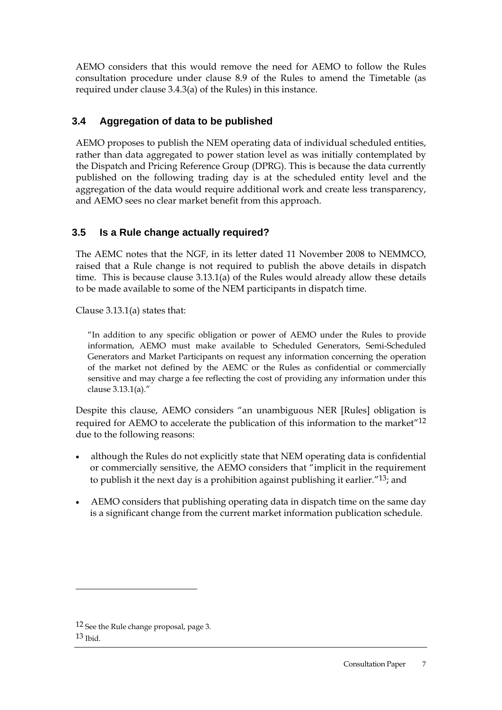AEMO considers that this would remove the need for AEMO to follow the Rules consultation procedure under clause 8.9 of the Rules to amend the Timetable (as required under clause 3.4.3(a) of the Rules) in this instance.

#### **3.4 Aggregation of data to be published**

AEMO proposes to publish the NEM operating data of individual scheduled entities, rather than data aggregated to power station level as was initially contemplated by the Dispatch and Pricing Reference Group (DPRG). This is because the data currently published on the following trading day is at the scheduled entity level and the aggregation of the data would require additional work and create less transparency, and AEMO sees no clear market benefit from this approach.

#### **3.5 Is a Rule change actually required?**

The AEMC notes that the NGF, in its letter dated 11 November 2008 to NEMMCO, raised that a Rule change is not required to publish the above details in dispatch time. This is because clause 3.13.1(a) of the Rules would already allow these details to be made available to some of the NEM participants in dispatch time.

Clause  $3.13.1(a)$  states that:

"In addition to any specific obligation or power of AEMO under the Rules to provide information, AEMO must make available to Scheduled Generators, Semi-Scheduled Generators and Market Participants on request any information concerning the operation of the market not defined by the AEMC or the Rules as confidential or commercially sensitive and may charge a fee reflecting the cost of providing any information under this clause 3.13.1(a)."

Despite this clause, AEMO considers "an unambiguous NER [Rules] obligation is required for AEMO to accelerate the publication of this information to the market"12 due to the following reasons:

- although the Rules do not explicitly state that NEM operating data is confidential or commercially sensitive, the AEMO considers that "implicit in the requirement to publish it the next day is a prohibition against publishing it earlier."13; and
- AEMO considers that publishing operating data in dispatch time on the same day is a significant change from the current market information publication schedule.

l

<sup>12</sup> See the Rule change proposal, page 3.  $13$  Ibid.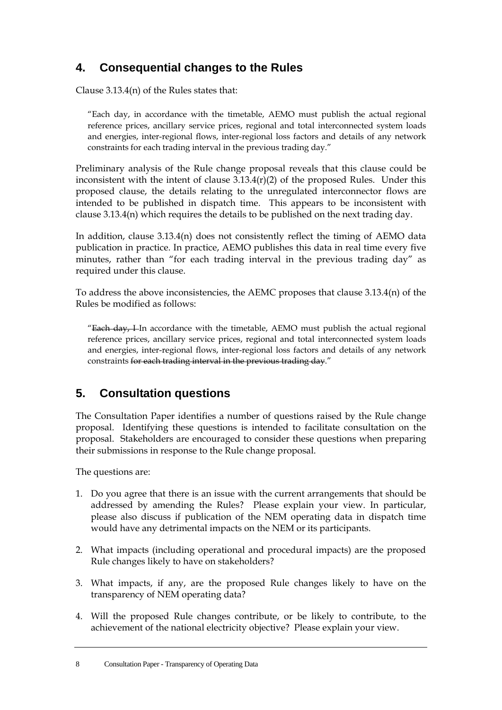# **4. Consequential changes to the Rules**

Clause 3.13.4(n) of the Rules states that:

"Each day, in accordance with the timetable, AEMO must publish the actual regional reference prices, ancillary service prices, regional and total interconnected system loads and energies, inter-regional flows, inter-regional loss factors and details of any network constraints for each trading interval in the previous trading day."

Preliminary analysis of the Rule change proposal reveals that this clause could be inconsistent with the intent of clause 3.13.4(r)(2) of the proposed Rules. Under this proposed clause, the details relating to the unregulated interconnector flows are intended to be published in dispatch time. This appears to be inconsistent with clause 3.13.4(n) which requires the details to be published on the next trading day.

In addition, clause 3.13.4(n) does not consistently reflect the timing of AEMO data publication in practice. In practice, AEMO publishes this data in real time every five minutes, rather than "for each trading interval in the previous trading day" as required under this clause.

To address the above inconsistencies, the AEMC proposes that clause 3.13.4(n) of the Rules be modified as follows:

"Each day, I In accordance with the timetable, AEMO must publish the actual regional reference prices, ancillary service prices, regional and total interconnected system loads and energies, inter-regional flows, inter-regional loss factors and details of any network constraints for each trading interval in the previous trading day."

## **5. Consultation questions**

The Consultation Paper identifies a number of questions raised by the Rule change proposal. Identifying these questions is intended to facilitate consultation on the proposal. Stakeholders are encouraged to consider these questions when preparing their submissions in response to the Rule change proposal.

The questions are:

- 1. Do you agree that there is an issue with the current arrangements that should be addressed by amending the Rules? Please explain your view. In particular, please also discuss if publication of the NEM operating data in dispatch time would have any detrimental impacts on the NEM or its participants.
- 2. What impacts (including operational and procedural impacts) are the proposed Rule changes likely to have on stakeholders?
- 3. What impacts, if any, are the proposed Rule changes likely to have on the transparency of NEM operating data?
- 4. Will the proposed Rule changes contribute, or be likely to contribute, to the achievement of the national electricity objective? Please explain your view.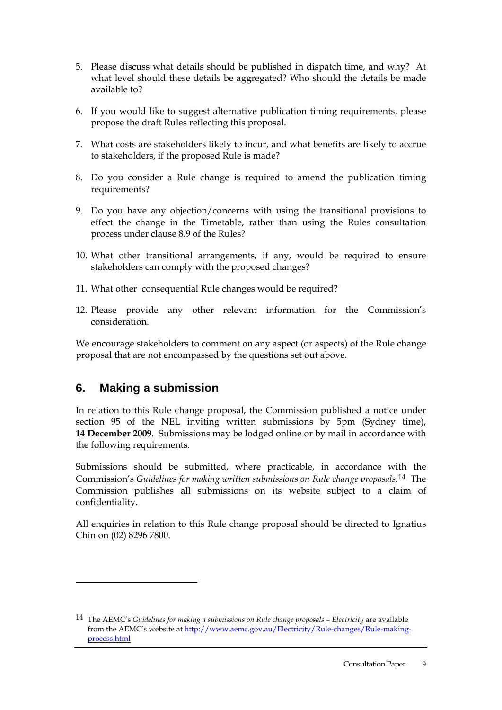- 5. Please discuss what details should be published in dispatch time, and why? At what level should these details be aggregated? Who should the details be made available to?
- 6. If you would like to suggest alternative publication timing requirements, please propose the draft Rules reflecting this proposal.
- 7. What costs are stakeholders likely to incur, and what benefits are likely to accrue to stakeholders, if the proposed Rule is made?
- 8. Do you consider a Rule change is required to amend the publication timing requirements?
- 9. Do you have any objection/concerns with using the transitional provisions to effect the change in the Timetable, rather than using the Rules consultation process under clause 8.9 of the Rules?
- 10. What other transitional arrangements, if any, would be required to ensure stakeholders can comply with the proposed changes?
- 11. What other consequential Rule changes would be required?
- 12. Please provide any other relevant information for the Commission's consideration.

We encourage stakeholders to comment on any aspect (or aspects) of the Rule change proposal that are not encompassed by the questions set out above.

## **6. Making a submission**

 $\overline{a}$ 

In relation to this Rule change proposal, the Commission published a notice under section 95 of the NEL inviting written submissions by 5pm (Sydney time), **14 December 2009**. Submissions may be lodged online or by mail in accordance with the following requirements.

Submissions should be submitted, where practicable, in accordance with the Commission's *Guidelines for making written submissions on Rule change proposals*. 14 The Commission publishes all submissions on its website subject to a claim of confidentiality.

All enquiries in relation to this Rule change proposal should be directed to Ignatius Chin on (02) 8296 7800.

<sup>14</sup> The AEMC's *Guidelines for making a submissions on Rule change proposals – Electricity* are available from the AEMC's website at http://www.aemc.gov.au/Electricity/Rule-changes/Rule-makingprocess.html